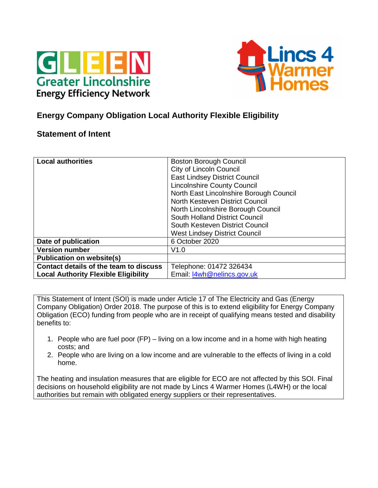



# **Energy Company Obligation Local Authority Flexible Eligibility**

# **Statement of Intent**

| <b>Local authorities</b>                    | <b>Boston Borough Council</b>           |
|---------------------------------------------|-----------------------------------------|
|                                             | <b>City of Lincoln Council</b>          |
|                                             | <b>East Lindsey District Council</b>    |
|                                             | <b>Lincolnshire County Council</b>      |
|                                             | North East Lincolnshire Borough Council |
|                                             | North Kesteven District Council         |
|                                             | North Lincolnshire Borough Council      |
|                                             | South Holland District Council          |
|                                             | South Kesteven District Council         |
|                                             | <b>West Lindsey District Council</b>    |
| Date of publication                         | 6 October 2020                          |
| <b>Version number</b>                       | V1.0                                    |
| <b>Publication on website(s)</b>            |                                         |
| Contact details of the team to discuss      | Telephone: 01472 326434                 |
| <b>Local Authority Flexible Eligibility</b> | Email: I4wh@nelincs.gov.uk              |

This Statement of Intent (SOI) is made under Article 17 of The Electricity and Gas (Energy Company Obligation) Order 2018. The purpose of this is to extend eligibility for Energy Company Obligation (ECO) funding from people who are in receipt of qualifying means tested and disability benefits to:

- 1. People who are fuel poor (FP) living on a low income and in a home with high heating costs; and
- 2. People who are living on a low income and are vulnerable to the effects of living in a cold home.

The heating and insulation measures that are eligible for ECO are not affected by this SOI. Final decisions on household eligibility are not made by Lincs 4 Warmer Homes (L4WH) or the local authorities but remain with obligated energy suppliers or their representatives.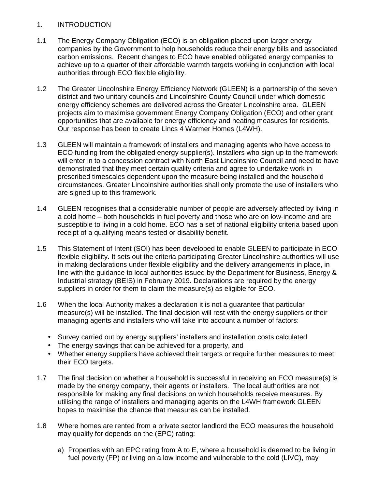#### 1. INTRODUCTION

- 1.1 The Energy Company Obligation (ECO) is an obligation placed upon larger energy companies by the Government to help households reduce their energy bills and associated carbon emissions. Recent changes to ECO have enabled obligated energy companies to achieve up to a quarter of their affordable warmth targets working in conjunction with local authorities through ECO flexible eligibility.
- 1.2 The Greater Lincolnshire Energy Efficiency Network (GLEEN) is a partnership of the seven district and two unitary councils and Lincolnshire County Council under which domestic energy efficiency schemes are delivered across the Greater Lincolnshire area. GLEEN projects aim to maximise government Energy Company Obligation (ECO) and other grant opportunities that are available for energy efficiency and heating measures for residents. Our response has been to create Lincs 4 Warmer Homes (L4WH).
- 1.3 GLEEN will maintain a framework of installers and managing agents who have access to ECO funding from the obligated energy supplier(s). Installers who sign up to the framework will enter in to a concession contract with North East Lincolnshire Council and need to have demonstrated that they meet certain quality criteria and agree to undertake work in prescribed timescales dependent upon the measure being installed and the household circumstances. Greater Lincolnshire authorities shall only promote the use of installers who are signed up to this framework.
- 1.4 GLEEN recognises that a considerable number of people are adversely affected by living in a cold home – both households in fuel poverty and those who are on low-income and are susceptible to living in a cold home. ECO has a set of national eligibility criteria based upon receipt of a qualifying means tested or disability benefit.
- 1.5 This Statement of Intent (SOI) has been developed to enable GLEEN to participate in ECO flexible eligibility. It sets out the criteria participating Greater Lincolnshire authorities will use in making declarations under flexible eligibility and the delivery arrangements in place, in line with the guidance to local authorities issued by the Department for Business, Energy & Industrial strategy (BEIS) in February 2019. Declarations are required by the energy suppliers in order for them to claim the measure(s) as eligible for ECO.
- 1.6 When the local Authority makes a declaration it is not a guarantee that particular measure(s) will be installed. The final decision will rest with the energy suppliers or their managing agents and installers who will take into account a number of factors:
	- Survey carried out by energy suppliers' installers and installation costs calculated
	- The energy savings that can be achieved for a property, and
	- Whether energy suppliers have achieved their targets or require further measures to meet their ECO targets.
- 1.7 The final decision on whether a household is successful in receiving an ECO measure(s) is made by the energy company, their agents or installers. The local authorities are not responsible for making any final decisions on which households receive measures. By utilising the range of installers and managing agents on the L4WH framework GLEEN hopes to maximise the chance that measures can be installed.
- 1.8 Where homes are rented from a private sector landlord the ECO measures the household may qualify for depends on the (EPC) rating:
	- a) Properties with an EPC rating from A to E, where a household is deemed to be living in fuel poverty (FP) or living on a low income and vulnerable to the cold (LIVC), may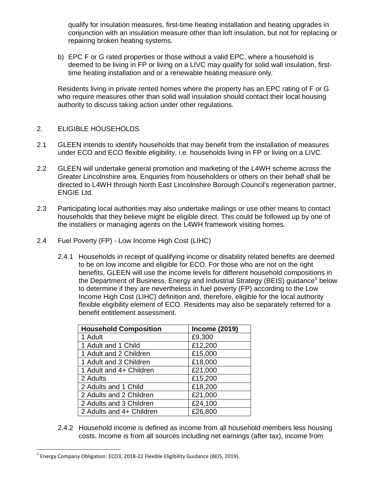qualify for insulation measures, first-time heating installation and heating upgrades in conjunction with an insulation measure other than loft insulation, but not for replacing or repairing broken heating systems.

b) EPC F or G rated properties or those without a valid EPC, where a household is deemed to be living in FP or living on a LIVC may qualify for solid wall insulation, firsttime heating installation and or a renewable heating measure only.

Residents living in private rented homes where the property has an EPC rating of F or G who require measures other than solid wall insulation should contact their local housing authority to discuss taking action under other regulations.

#### 2. ELIGIBLE HOUSEHOLDS

- 2.1 GLEEN intends to identify households that may benefit from the installation of measures under ECO and ECO flexible eligibility, i.e. households living in FP or living on a LIVC.
- 2.2 GLEEN will undertake general promotion and marketing of the L4WH scheme across the Greater Lincolnshire area. Enquiries from householders or others on their behalf shall be directed to L4WH through North East Lincolnshire Borough Council's regeneration partner, ENGIE Ltd.
- 2.3 Participating local authorities may also undertake mailings or use other means to contact households that they believe might be eligible direct. This could be followed up by one of the installers or managing agents on the L4WH framework visiting homes.
- 2.4 Fuel Poverty (FP) Low Income High Cost (LIHC)
	- 2.4.1 Households in receipt of qualifying income or disability related benefits are deemed to be on low income and eligible for ECO. For those who are not on the right benefits, GLEEN will use the income levels for different household compositions in the Department of Business, Energy and Industrial Strategy (BEIS) guidance<sup>1</sup> below to determine if they are nevertheless in fuel poverty (FP) according to the Low Income High Cost (LIHC) definition and, therefore, eligible for the local authority flexible eligibility element of ECO. Residents may also be separately referred for a benefit entitlement assessment.

| <b>Household Composition</b> | <b>Income (2019)</b> |
|------------------------------|----------------------|
| 1 Adult                      | £9,300               |
| 1 Adult and 1 Child          | £12,200              |
| 1 Adult and 2 Children       | £15,000              |
| 1 Adult and 3 Children       | £18,000              |
| 1 Adult and 4+ Children      | £21,000              |
| 2 Adults                     | £15,200              |
| 2 Adults and 1 Child         | £18,200              |
| 2 Adults and 2 Children      | £21,000              |
| 2 Adults and 3 Children      | £24,100              |
| 2 Adults and 4+ Children     | £26,800              |

2.4.2 Household income is defined as income from all household members less housing costs. Income is from all sources including net earnings (after tax), income from

 $\overline{a}$ 

 $^1$  Energy Company Obligation: ECO3, 2018-22 Flexible Eligibility Guidance (BEIS, 2019).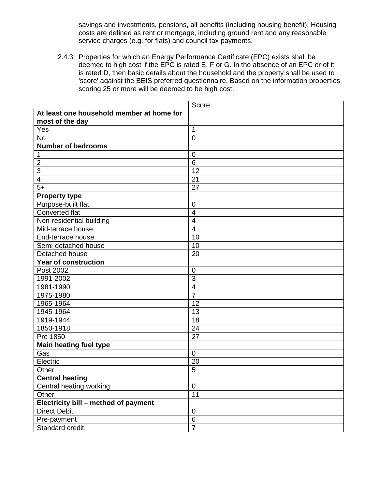savings and investments, pensions, all benefits (including housing benefit). Housing costs are defined as rent or mortgage, including ground rent and any reasonable service charges (e.g. for flats) and council tax payments.

2.4.3 Properties for which an Energy Performance Certificate (EPC) exists shall be deemed to high cost if the EPC is rated E, F or G. In the absence of an EPC or of it is rated D, then basic details about the household and the property shall be used to 'score' against the BEIS preferred questionnaire. Based on the information properties scoring 25 or more will be deemed to be high cost.

|                                           | Score                    |
|-------------------------------------------|--------------------------|
| At least one household member at home for |                          |
| most of the day                           |                          |
| Yes                                       | 1                        |
| <b>No</b>                                 | $\mathbf 0$              |
| <b>Number of bedrooms</b>                 |                          |
| 1                                         | $\mathbf 0$              |
| $\overline{2}$                            | $6\phantom{1}6$          |
| 3                                         | 12                       |
| $\overline{\mathbf{4}}$                   | 21                       |
| $5+$                                      | 27                       |
| <b>Property type</b>                      |                          |
| Purpose-built flat                        | $\mathbf 0$              |
| Converted flat                            | $\overline{\mathcal{A}}$ |
| Non-residential building                  | $\overline{4}$           |
| Mid-terrace house                         | $\overline{\mathbf{4}}$  |
| End-terrace house                         | 10                       |
| Semi-detached house                       | 10                       |
| Detached house                            | 20                       |
| <b>Year of construction</b>               |                          |
| Post 2002                                 | $\mathbf 0$              |
| 1991-2002                                 | 3                        |
| 1981-1990                                 | $\overline{\mathbf{4}}$  |
| 1975-1980                                 | $\overline{7}$           |
| 1965-1964                                 | 12                       |
| 1945-1964                                 | 13                       |
| 1919-1944                                 | 18                       |
| 1850-1918                                 | 24                       |
| Pre 1850                                  | 27                       |
| <b>Main heating fuel type</b>             |                          |
| Gas                                       | $\mathbf 0$              |
| Electric                                  | 20                       |
| Other                                     | 5                        |
| <b>Central heating</b>                    |                          |
| Central heating working                   | $\mathbf 0$              |
| Other                                     | 11                       |
| Electricity bill - method of payment      |                          |
| <b>Direct Debit</b>                       | $\mathbf 0$              |
| Pre-payment                               | $\,6$                    |
| Standard credit                           | $\overline{7}$           |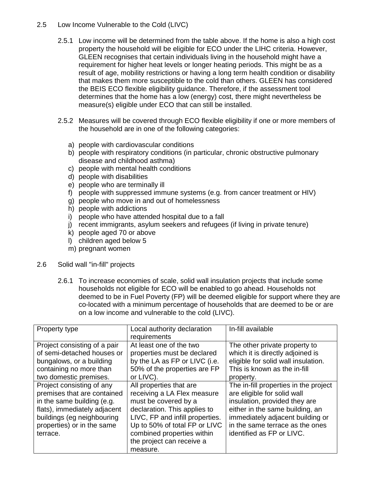#### 2.5 Low Income Vulnerable to the Cold (LIVC)

- 2.5.1 Low income will be determined from the table above. If the home is also a high cost property the household will be eligible for ECO under the LIHC criteria. However, GLEEN recognises that certain individuals living in the household might have a requirement for higher heat levels or longer heating periods. This might be as a result of age, mobility restrictions or having a long term health condition or disability that makes them more susceptible to the cold than others. GLEEN has considered the BEIS ECO flexible eligibility guidance. Therefore, if the assessment tool determines that the home has a low (energy) cost, there might nevertheless be measure(s) eligible under ECO that can still be installed.
- 2.5.2 Measures will be covered through ECO flexible eligibility if one or more members of the household are in one of the following categories:
	- a) people with cardiovascular conditions
	- b) people with respiratory conditions (in particular, chronic obstructive pulmonary disease and childhood asthma)
	- c) people with mental health conditions
	- d) people with disabilities
	- e) people who are terminally ill
	- f) people with suppressed immune systems (e.g. from cancer treatment or HIV)
	- g) people who move in and out of homelessness
	- h) people with addictions
	- i) people who have attended hospital due to a fall
	- j) recent immigrants, asylum seekers and refugees (if living in private tenure)
	- k) people aged 70 or above
	- l) children aged below 5
	- m) pregnant women
- 2.6 Solid wall "in-fill" projects
	- 2.6.1 To increase economies of scale, solid wall insulation projects that include some households not eligible for ECO will be enabled to go ahead. Households not deemed to be in Fuel Poverty (FP) will be deemed eligible for support where they are co-located with a minimum percentage of households that are deemed to be or are on a low income and vulnerable to the cold (LIVC).

| Property type                | Local authority declaration<br>requirements | In-fill available                     |
|------------------------------|---------------------------------------------|---------------------------------------|
|                              |                                             |                                       |
| Project consisting of a pair | At least one of the two                     | The other private property to         |
| of semi-detached houses or   | properties must be declared                 | which it is directly adjoined is      |
| bungalows, or a building     | by the LA as FP or LIVC (i.e.               | eligible for solid wall insulation.   |
| containing no more than      | 50% of the properties are FP                | This is known as the in-fill          |
| two domestic premises.       | or LIVC).                                   | property.                             |
| Project consisting of any    | All properties that are                     | The in-fill properties in the project |
| premises that are contained  | receiving a LA Flex measure                 | are eligible for solid wall           |
| in the same building (e.g.   | must be covered by a                        | insulation, provided they are         |
| flats), immediately adjacent | declaration. This applies to                | either in the same building, an       |
| buildings (eg neighbouring   | LIVC, FP and infill properties.             | immediately adjacent building or      |
| properties) or in the same   | Up to 50% of total FP or LIVC               | in the same terrace as the ones       |
| terrace.                     | combined properties within                  | identified as FP or LIVC.             |
|                              | the project can receive a                   |                                       |
|                              | measure.                                    |                                       |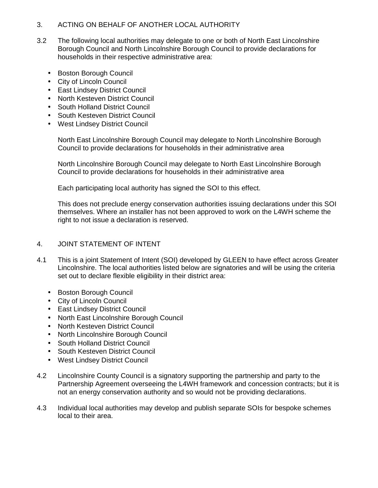#### 3. ACTING ON BEHALF OF ANOTHER LOCAL AUTHORITY

- 3.2 The following local authorities may delegate to one or both of North East Lincolnshire Borough Council and North Lincolnshire Borough Council to provide declarations for households in their respective administrative area:
	- Boston Borough Council
	- City of Lincoln Council
	- East Lindsey District Council
	- North Kesteven District Council
	- South Holland District Council
	- South Kesteven District Council
	- West Lindsey District Council

North East Lincolnshire Borough Council may delegate to North Lincolnshire Borough Council to provide declarations for households in their administrative area

North Lincolnshire Borough Council may delegate to North East Lincolnshire Borough Council to provide declarations for households in their administrative area

Each participating local authority has signed the SOI to this effect.

This does not preclude energy conservation authorities issuing declarations under this SOI themselves. Where an installer has not been approved to work on the L4WH scheme the right to not issue a declaration is reserved.

#### 4. JOINT STATEMENT OF INTENT

- 4.1 This is a joint Statement of Intent (SOI) developed by GLEEN to have effect across Greater Lincolnshire. The local authorities listed below are signatories and will be using the criteria set out to declare flexible eligibility in their district area:
	- Boston Borough Council
	- City of Lincoln Council
	- East Lindsey District Council
	- North East Lincolnshire Borough Council
	- North Kesteven District Council
	- North Lincolnshire Borough Council
	- South Holland District Council
	- South Kesteven District Council
	- West Lindsey District Council
- 4.2 Lincolnshire County Council is a signatory supporting the partnership and party to the Partnership Agreement overseeing the L4WH framework and concession contracts; but it is not an energy conservation authority and so would not be providing declarations.
- 4.3 Individual local authorities may develop and publish separate SOIs for bespoke schemes local to their area.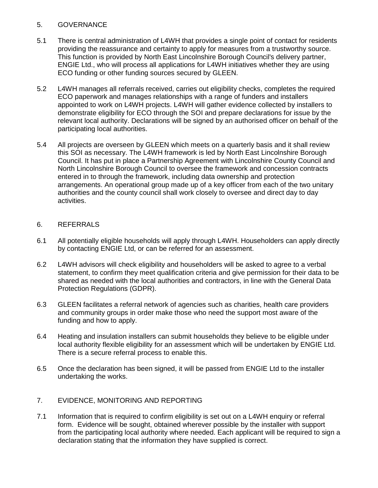#### 5. GOVERNANCE

- 5.1 There is central administration of L4WH that provides a single point of contact for residents providing the reassurance and certainty to apply for measures from a trustworthy source. This function is provided by North East Lincolnshire Borough Council's delivery partner, ENGIE Ltd., who will process all applications for L4WH initiatives whether they are using ECO funding or other funding sources secured by GLEEN.
- 5.2 L4WH manages all referrals received, carries out eligibility checks, completes the required ECO paperwork and manages relationships with a range of funders and installers appointed to work on L4WH projects. L4WH will gather evidence collected by installers to demonstrate eligibility for ECO through the SOI and prepare declarations for issue by the relevant local authority. Declarations will be signed by an authorised officer on behalf of the participating local authorities.
- 5.4 All projects are overseen by GLEEN which meets on a quarterly basis and it shall review this SOI as necessary. The L4WH framework is led by North East Lincolnshire Borough Council. It has put in place a Partnership Agreement with Lincolnshire County Council and North Lincolnshire Borough Council to oversee the framework and concession contracts entered in to through the framework, including data ownership and protection arrangements. An operational group made up of a key officer from each of the two unitary authorities and the county council shall work closely to oversee and direct day to day activities.

#### 6. REFERRALS

- 6.1 All potentially eligible households will apply through L4WH. Householders can apply directly by contacting ENGIE Ltd, or can be referred for an assessment.
- 6.2 L4WH advisors will check eligibility and householders will be asked to agree to a verbal statement, to confirm they meet qualification criteria and give permission for their data to be shared as needed with the local authorities and contractors, in line with the General Data Protection Regulations (GDPR).
- 6.3 GLEEN facilitates a referral network of agencies such as charities, health care providers and community groups in order make those who need the support most aware of the funding and how to apply.
- 6.4 Heating and insulation installers can submit households they believe to be eligible under local authority flexible eligibility for an assessment which will be undertaken by ENGIE Ltd. There is a secure referral process to enable this.
- 6.5 Once the declaration has been signed, it will be passed from ENGIE Ltd to the installer undertaking the works.

### 7. EVIDENCE, MONITORING AND REPORTING

7.1 Information that is required to confirm eligibility is set out on a L4WH enquiry or referral form. Evidence will be sought, obtained wherever possible by the installer with support from the participating local authority where needed. Each applicant will be required to sign a declaration stating that the information they have supplied is correct.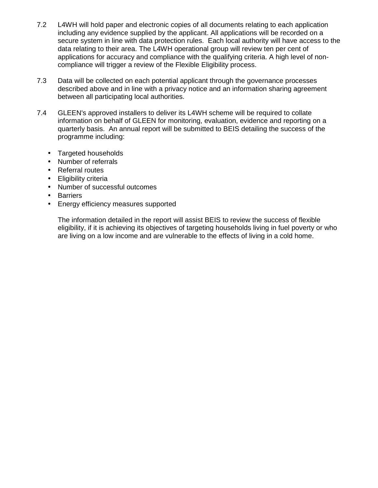- 7.2 L4WH will hold paper and electronic copies of all documents relating to each application including any evidence supplied by the applicant. All applications will be recorded on a secure system in line with data protection rules. Each local authority will have access to the data relating to their area. The L4WH operational group will review ten per cent of applications for accuracy and compliance with the qualifying criteria. A high level of noncompliance will trigger a review of the Flexible Eligibility process.
- 7.3 Data will be collected on each potential applicant through the governance processes described above and in line with a privacy notice and an information sharing agreement between all participating local authorities.
- 7.4 GLEEN's approved installers to deliver its L4WH scheme will be required to collate information on behalf of GLEEN for monitoring, evaluation, evidence and reporting on a quarterly basis. An annual report will be submitted to BEIS detailing the success of the programme including:
	- Targeted households
	- Number of referrals
	- Referral routes
	- Eligibility criteria
	- Number of successful outcomes
	- Barriers
	- Energy efficiency measures supported

The information detailed in the report will assist BEIS to review the success of flexible eligibility, if it is achieving its objectives of targeting households living in fuel poverty or who are living on a low income and are vulnerable to the effects of living in a cold home.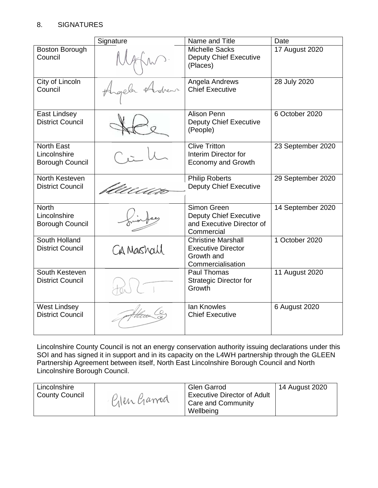## 8. SIGNATURES

|                                                | Signature  | Name and Title                                         | Date              |
|------------------------------------------------|------------|--------------------------------------------------------|-------------------|
| Boston Borough<br>Council                      |            | <b>Michelle Sacks</b><br><b>Deputy Chief Executive</b> | 17 August 2020    |
|                                                |            | (Places)                                               |                   |
| City of Lincoln<br>Council                     |            | Angela Andrews<br><b>Chief Executive</b>               | 28 July 2020      |
|                                                |            |                                                        |                   |
| East Lindsey<br><b>District Council</b>        |            | Alison Penn<br><b>Deputy Chief Executive</b>           | 6 October 2020    |
|                                                |            | (People)                                               |                   |
| <b>North East</b><br>Lincolnshire              |            | <b>Clive Tritton</b><br>Interim Director for           | 23 September 2020 |
| <b>Borough Council</b>                         |            | <b>Economy and Growth</b>                              |                   |
| North Kesteven<br><b>District Council</b>      |            | <b>Philip Roberts</b>                                  | 29 September 2020 |
|                                                |            | <b>Deputy Chief Executive</b>                          |                   |
| <b>North</b><br>Lincolnshire                   |            | Simon Green<br><b>Deputy Chief Executive</b>           | 14 September 2020 |
| <b>Borough Council</b>                         |            | and Executive Director of<br>Commercial                |                   |
| South Holland                                  |            | <b>Christine Marshall</b>                              | 1 October 2020    |
| <b>District Council</b>                        | CA Mashall | <b>Executive Director</b><br>Growth and                |                   |
| South Kesteven                                 |            | Commercialisation<br>Paul Thomas                       | 11 August 2020    |
| <b>District Council</b>                        |            | <b>Strategic Director for</b>                          |                   |
|                                                |            | Growth                                                 |                   |
| <b>West Lindsey</b><br><b>District Council</b> |            | <b>lan Knowles</b><br><b>Chief Executive</b>           | 6 August 2020     |
|                                                |            |                                                        |                   |
|                                                |            |                                                        |                   |

Lincolnshire County Council is not an energy conservation authority issuing declarations under this SOI and has signed it in support and in its capacity on the L4WH partnership through the GLEEN Partnership Agreement between itself, North East Lincolnshire Borough Council and North Lincolnshire Borough Council.

| Wellbeing | Lincolnshire<br><b>County Council</b> | Pilen Garrod | <b>Glen Garrod</b><br><b>Executive Director of Adult</b><br>Care and Community | 14 August 2020 |
|-----------|---------------------------------------|--------------|--------------------------------------------------------------------------------|----------------|
|-----------|---------------------------------------|--------------|--------------------------------------------------------------------------------|----------------|